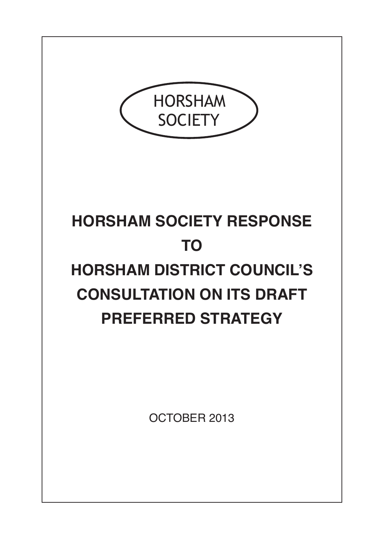

# **HORSHAM SOCIETY RESPONSE TO HORSHAM DISTRICT COUNCIL'S CONSULTATION ON ITS DRAFT PREFERRED STRATEGY**

OCTOBER 2013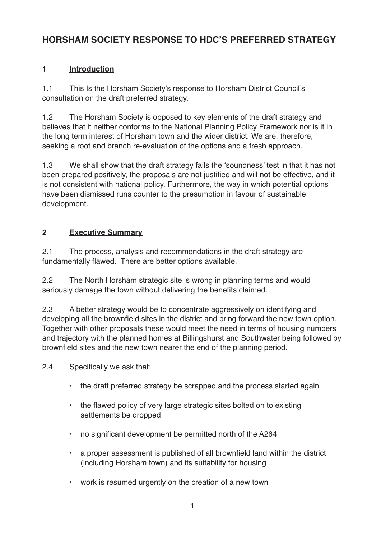## **HORSHAM SOCIETY RESPONSE TO HDC'S PREFERRED STRATEGY**

## **1 Introduction**

1.1 This Is the Horsham Society's response to Horsham District Council's consultation on the draft preferred strategy.

1.2 The Horsham Society is opposed to key elements of the draft strategy and believes that it neither conforms to the National Planning Policy Framework nor is it in the long term interest of Horsham town and the wider district. We are, therefore, seeking a root and branch re-evaluation of the options and a fresh approach.

1.3 We shall show that the draft strategy fails the 'soundness' test in that it has not been prepared positively, the proposals are not justified and will not be effective, and it is not consistent with national policy. Furthermore, the way in which potential options have been dismissed runs counter to the presumption in favour of sustainable development.

#### **2 Executive Summary**

2.1 The process, analysis and recommendations in the draft strategy are fundamentally flawed. There are better options available.

2.2 The North Horsham strategic site is wrong in planning terms and would seriously damage the town without delivering the benefits claimed.

2.3 A better strategy would be to concentrate aggressively on identifying and developing all the brownfield sites in the district and bring forward the new town option. Together with other proposals these would meet the need in terms of housing numbers and trajectory with the planned homes at Billingshurst and Southwater being followed by brownfield sites and the new town nearer the end of the planning period.

2.4 Specifically we ask that:

- the draft preferred strategy be scrapped and the process started again
- the flawed policy of very large strategic sites bolted on to existing settlements be dropped
- no significant development be permitted north of the A264
- a proper assessment is published of all brownfield land within the district (including Horsham town) and its suitability for housing
- work is resumed urgently on the creation of a new town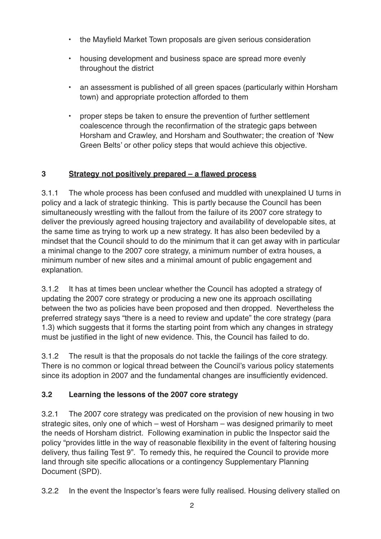- the Mayfield Market Town proposals are given serious consideration
- housing development and business space are spread more evenly throughout the district
- an assessment is published of all green spaces (particularly within Horsham town) and appropriate protection afforded to them
- proper steps be taken to ensure the prevention of further settlement coalescence through the reconfirmation of the strategic gaps between Horsham and Crawley, and Horsham and Southwater; the creation of 'New Green Belts' or other policy steps that would achieve this objective.

#### **3 Strategy not positively prepared – a flawed process**

3.1.1 The whole process has been confused and muddled with unexplained U turns in policy and a lack of strategic thinking. This is partly because the Council has been simultaneously wrestling with the fallout from the failure of its 2007 core strategy to deliver the previously agreed housing trajectory and availability of developable sites, at the same time as trying to work up a new strategy. It has also been bedeviled by a mindset that the Council should to do the minimum that it can get away with in particular a minimal change to the 2007 core strategy, a minimum number of extra houses, a minimum number of new sites and a minimal amount of public engagement and explanation.

3.1.2 It has at times been unclear whether the Council has adopted a strategy of updating the 2007 core strategy or producing a new one its approach oscillating between the two as policies have been proposed and then dropped. Nevertheless the preferred strategy says "there is a need to review and update" the core strategy (para 1.3) which suggests that it forms the starting point from which any changes in strategy must be justified in the light of new evidence. This, the Council has failed to do.

3.1.2 The result is that the proposals do not tackle the failings of the core strategy. There is no common or logical thread between the Council's various policy statements since its adoption in 2007 and the fundamental changes are insufficiently evidenced.

#### **3.2 Learning the lessons of the 2007 core strategy**

3.2.1 The 2007 core strategy was predicated on the provision of new housing in two strategic sites, only one of which – west of Horsham – was designed primarily to meet the needs of Horsham district. Following examination in public the Inspector said the policy "provides little in the way of reasonable flexibility in the event of faltering housing delivery, thus failing Test 9". To remedy this, he required the Council to provide more land through site specific allocations or a contingency Supplementary Planning Document (SPD).

3.2.2 In the event the Inspector's fears were fully realised. Housing delivery stalled on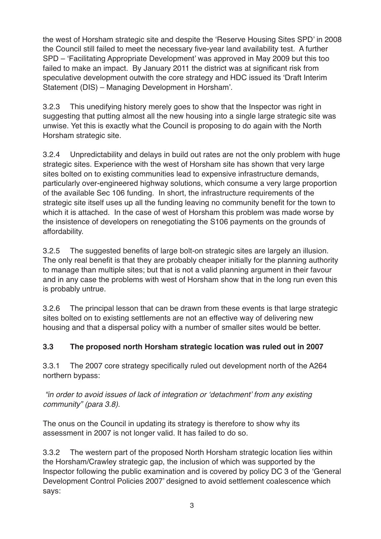the west of Horsham strategic site and despite the 'Reserve Housing Sites SPD' in 2008 the Council still failed to meet the necessary five-year land availability test. A further SPD – 'Facilitating Appropriate Development' was approved in May 2009 but this too failed to make an impact. By January 2011 the district was at significant risk from speculative development outwith the core strategy and HDC issued its 'Draft Interim Statement (DIS) – Managing Development in Horsham'.

3.2.3 This unedifying history merely goes to show that the Inspector was right in suggesting that putting almost all the new housing into a single large strategic site was unwise. Yet this is exactly what the Council is proposing to do again with the North Horsham strategic site.

3.2.4 Unpredictability and delays in build out rates are not the only problem with huge strategic sites. Experience with the west of Horsham site has shown that very large sites bolted on to existing communities lead to expensive infrastructure demands, particularly over-engineered highway solutions, which consume a very large proportion of the available Sec 106 funding. In short, the infrastructure requirements of the strategic site itself uses up all the funding leaving no community benefit for the town to which it is attached. In the case of west of Horsham this problem was made worse by the insistence of developers on renegotiating the S106 payments on the grounds of affordability.

3.2.5 The suggested benefits of large bolt-on strategic sites are largely an illusion. The only real benefit is that they are probably cheaper initially for the planning authority to manage than multiple sites; but that is not a valid planning argument in their favour and in any case the problems with west of Horsham show that in the long run even this is probably untrue.

3.2.6 The principal lesson that can be drawn from these events is that large strategic sites bolted on to existing settlements are not an effective way of delivering new housing and that a dispersal policy with a number of smaller sites would be better.

## **3.3 The proposed north Horsham strategic location was ruled out in 2007**

3.3.1 The 2007 core strategy specifically ruled out development north of the A264 northern bypass:

*"in order to avoid issues of lack of integration or 'detachment' from any existing community" (para 3.8).*

The onus on the Council in updating its strategy is therefore to show why its assessment in 2007 is not longer valid. It has failed to do so.

3.3.2 The western part of the proposed North Horsham strategic location lies within the Horsham/Crawley strategic gap, the inclusion of which was supported by the Inspector following the public examination and is covered by policy DC 3 of the 'General Development Control Policies 2007' designed to avoid settlement coalescence which says: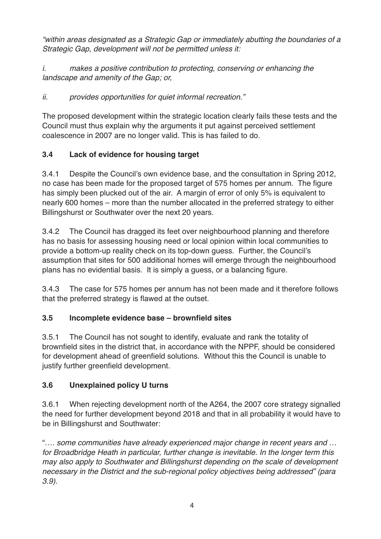*"within areas designated as a Strategic Gap or immediately abutting the boundaries of a Strategic Gap, development will not be permitted unless it:*

*i. makes a positive contribution to protecting, conserving or enhancing the landscape and amenity of the Gap; or,*

*ii. provides opportunities for quiet informal recreation."*

The proposed development within the strategic location clearly fails these tests and the Council must thus explain why the arguments it put against perceived settlement coalescence in 2007 are no longer valid. This is has failed to do.

## **3.4 Lack of evidence for housing target**

3.4.1 Despite the Council's own evidence base, and the consultation in Spring 2012, no case has been made for the proposed target of 575 homes per annum. The figure has simply been plucked out of the air. A margin of error of only 5% is equivalent to nearly 600 homes – more than the number allocated in the preferred strategy to either Billingshurst or Southwater over the next 20 years.

3.4.2 The Council has dragged its feet over neighbourhood planning and therefore has no basis for assessing housing need or local opinion within local communities to provide a bottom-up reality check on its top-down guess. Further, the Council's assumption that sites for 500 additional homes will emerge through the neighbourhood plans has no evidential basis. It is simply a guess, or a balancing figure.

3.4.3 The case for 575 homes per annum has not been made and it therefore follows that the preferred strategy is flawed at the outset.

## **3.5 Incomplete evidence base – brownfield sites**

3.5.1 The Council has not sought to identify, evaluate and rank the totality of brownfield sites in the district that, in accordance with the NPPF, should be considered for development ahead of greenfield solutions. Without this the Council is unable to justify further greenfield development.

## **3.6 Unexplained policy U turns**

3.6.1 When rejecting development north of the A264, the 2007 core strategy signalled the need for further development beyond 2018 and that in all probability it would have to be in Billingshurst and Southwater:

"*…. some communities have already experienced major change in recent years and … for Broadbridge Heath in particular, further change is inevitable. In the longer term this may also apply to Southwater and Billingshurst depending on the scale of development necessary in the District and the sub-regional policy objectives being addressed" (para 3.9).*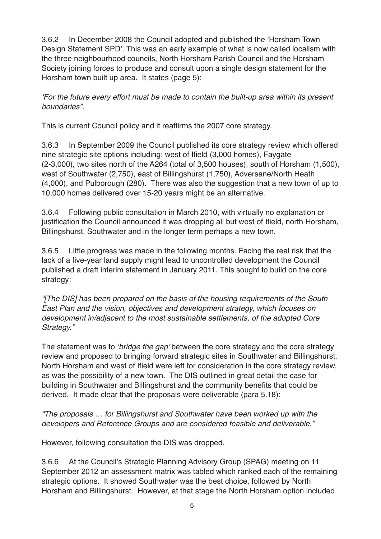3.6.2 In December 2008 the Council adopted and published the 'Horsham Town Design Statement SPD'. This was an early example of what is now called localism with the three neighbourhood councils, North Horsham Parish Council and the Horsham Society joining forces to produce and consult upon a single design statement for the Horsham town built up area. It states (page 5):

*'For the future every effort must be made to contain the built-up area within its present boundaries".*

This is current Council policy and it reaffirms the 2007 core strategy.

3.6.3 In September 2009 the Council published its core strategy review which offered nine strategic site options including: west of Ifield (3,000 homes), Faygate (2-3,000), two sites north of the A264 (total of 3,500 houses), south of Horsham (1,500), west of Southwater (2,750), east of Billingshurst (1,750), Adversane/North Heath (4,000), and Pulborough (280). There was also the suggestion that a new town of up to 10,000 homes delivered over 15-20 years might be an alternative.

3.6.4 Following public consultation in March 2010, with virtually no explanation or justification the Council announced it was dropping all but west of Ifield, north Horsham, Billingshurst, Southwater and in the longer term perhaps a new town.

3.6.5 Little progress was made in the following months. Facing the real risk that the lack of a five-year land supply might lead to uncontrolled development the Council published a draft interim statement in January 2011. This sought to build on the core strategy:

*"[The DIS] has been prepared on the basis of the housing requirements of the South East Plan and the vision, objectives and development strategy, which focuses on development in/adjacent to the most sustainable settlements, of the adopted Core Strategy."*

The statement was to *'bridge the gap'* between the core strategy and the core strategy review and proposed to bringing forward strategic sites in Southwater and Billingshurst. North Horsham and west of Ifield were left for consideration in the core strategy review, as was the possibility of a new town. The DIS outlined in great detail the case for building in Southwater and Billingshurst and the community benefits that could be derived. It made clear that the proposals were deliverable (para 5.18):

*"The proposals … for Billingshurst and Southwater have been worked up with the developers and Reference Groups and are considered feasible and deliverable."*

However, following consultation the DIS was dropped.

3.6.6 At the Council's Strategic Planning Advisory Group (SPAG) meeting on 11 September 2012 an assessment matrix was tabled which ranked each of the remaining strategic options. It showed Southwater was the best choice, followed by North Horsham and Billingshurst. However, at that stage the North Horsham option included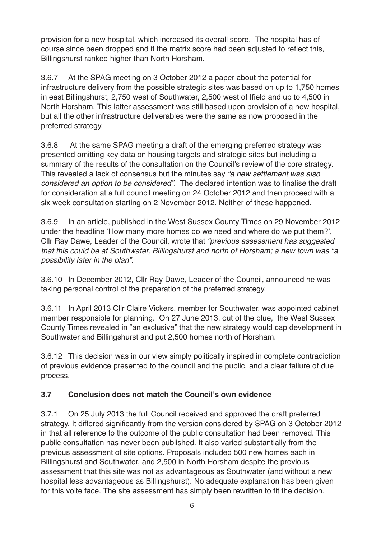provision for a new hospital, which increased its overall score. The hospital has of course since been dropped and if the matrix score had been adjusted to reflect this, Billingshurst ranked higher than North Horsham.

3.6.7 At the SPAG meeting on 3 October 2012 a paper about the potential for infrastructure delivery from the possible strategic sites was based on up to 1,750 homes in east Billingshurst, 2,750 west of Southwater, 2,500 west of Ifield and up to 4,500 in North Horsham. This latter assessment was still based upon provision of a new hospital, but all the other infrastructure deliverables were the same as now proposed in the preferred strategy.

3.6.8 At the same SPAG meeting a draft of the emerging preferred strategy was presented omitting key data on housing targets and strategic sites but including a summary of the results of the consultation on the Council's review of the core strategy. This revealed a lack of consensus but the minutes say *"a new settlement was also considered an option to be considered"*. The declared intention was to finalise the draft for consideration at a full council meeting on 24 October 2012 and then proceed with a six week consultation starting on 2 November 2012. Neither of these happened.

3.6.9 In an article, published in the West Sussex County Times on 29 November 2012 under the headline 'How many more homes do we need and where do we put them?', Cllr Ray Dawe, Leader of the Council, wrote that *"previous assessment has suggested that this could be at Southwater, Billingshurst and north of Horsham; a new town was "a possibility later in the plan".*

3.6.10 In December 2012, Cllr Ray Dawe, Leader of the Council, announced he was taking personal control of the preparation of the preferred strategy.

3.6.11 In April 2013 Cllr Claire Vickers, member for Southwater, was appointed cabinet member responsible for planning. On 27 June 2013, out of the blue, the West Sussex County Times revealed in "an exclusive" that the new strategy would cap development in Southwater and Billingshurst and put 2,500 homes north of Horsham.

3.6.12 This decision was in our view simply politically inspired in complete contradiction of previous evidence presented to the council and the public, and a clear failure of due process.

## **3.7 Conclusion does not match the Council's own evidence**

3.7.1 On 25 July 2013 the full Council received and approved the draft preferred strategy. It differed significantly from the version considered by SPAG on 3 October 2012 in that all reference to the outcome of the public consultation had been removed. This public consultation has never been published. It also varied substantially from the previous assessment of site options. Proposals included 500 new homes each in Billingshurst and Southwater, and 2,500 in North Horsham despite the previous assessment that this site was not as advantageous as Southwater (and without a new hospital less advantageous as Billingshurst). No adequate explanation has been given for this volte face. The site assessment has simply been rewritten to fit the decision.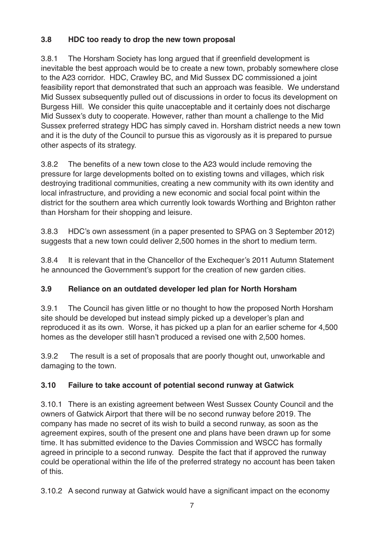## **3.8 HDC too ready to drop the new town proposal**

3.8.1 The Horsham Society has long argued that if greenfield development is inevitable the best approach would be to create a new town, probably somewhere close to the A23 corridor. HDC, Crawley BC, and Mid Sussex DC commissioned a joint feasibility report that demonstrated that such an approach was feasible. We understand Mid Sussex subsequently pulled out of discussions in order to focus its development on Burgess Hill. We consider this quite unacceptable and it certainly does not discharge Mid Sussex's duty to cooperate. However, rather than mount a challenge to the Mid Sussex preferred strategy HDC has simply caved in. Horsham district needs a new town and it is the duty of the Council to pursue this as vigorously as it is prepared to pursue other aspects of its strategy.

3.8.2 The benefits of a new town close to the A23 would include removing the pressure for large developments bolted on to existing towns and villages, which risk destroying traditional communities, creating a new community with its own identity and local infrastructure, and providing a new economic and social focal point within the district for the southern area which currently look towards Worthing and Brighton rather than Horsham for their shopping and leisure.

3.8.3 HDC's own assessment (in a paper presented to SPAG on 3 September 2012) suggests that a new town could deliver 2,500 homes in the short to medium term.

3.8.4 It is relevant that in the Chancellor of the Exchequer's 2011 Autumn Statement he announced the Government's support for the creation of new garden cities.

## **3.9 Reliance on an outdated developer led plan for North Horsham**

3.9.1 The Council has given little or no thought to how the proposed North Horsham site should be developed but instead simply picked up a developer's plan and reproduced it as its own. Worse, it has picked up a plan for an earlier scheme for 4,500 homes as the developer still hasn't produced a revised one with 2,500 homes.

3.9.2 The result is a set of proposals that are poorly thought out, unworkable and damaging to the town.

## **3.10 Failure to take account of potential second runway at Gatwick**

3.10.1 There is an existing agreement between West Sussex County Council and the owners of Gatwick Airport that there will be no second runway before 2019. The company has made no secret of its wish to build a second runway, as soon as the agreement expires, south of the present one and plans have been drawn up for some time. It has submitted evidence to the Davies Commission and WSCC has formally agreed in principle to a second runway. Despite the fact that if approved the runway could be operational within the life of the preferred strategy no account has been taken of this.

3.10.2 A second runway at Gatwick would have a significant impact on the economy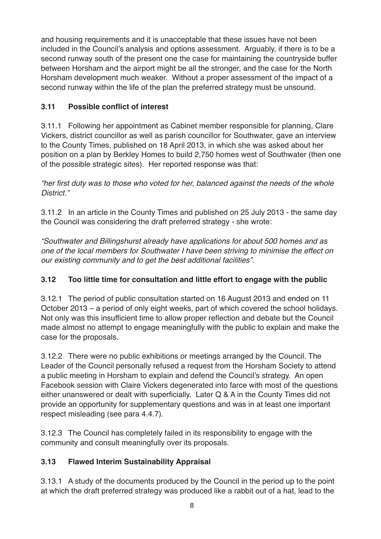and housing requirements and it is unacceptable that these issues have not been included in the Council's analysis and options assessment. Arguably, if there is to be a second runway south of the present one the case for maintaining the countryside buffer between Horsham and the airport might be all the stronger, and the case for the North Horsham development much weaker. Without a proper assessment of the impact of a second runway within the life of the plan the preferred strategy must be unsound.

## **3.11 Possible conflict of interest**

3.11.1 Following her appointment as Cabinet member responsible for planning, Clare Vickers, district councillor as well as parish councillor for Southwater, gave an interview to the County Times, published on 18 April 2013, in which she was asked about her position on a plan by Berkley Homes to build 2,750 homes west of Southwater (then one of the possible strategic sites). Her reported response was that:

*"her first duty was to those who voted for her, balanced against the needs of the whole District."*

3.11.2 In an article in the County Times and published on 25 July 2013 - the same day the Council was considering the draft preferred strategy - she wrote:

*"Southwater and Billingshurst already have applications for about 500 homes and as one of the local members for Southwater I have been striving to minimise the effect on our existing community and to get the best additional facilities".*

## **3.12 Too little time for consultation and little effort to engage with the public**

3.12.1 The period of public consultation started on 16 August 2013 and ended on 11 October 2013 – a period of only eight weeks, part of which covered the school holidays. Not only was this insufficient time to allow proper reflection and debate but the Council made almost no attempt to engage meaningfully with the public to explain and make the case for the proposals.

3.12.2 There were no public exhibitions or meetings arranged by the Council. The Leader of the Council personally refused a request from the Horsham Society to attend a public meeting in Horsham to explain and defend the Council's strategy. An open Facebook session with Claire Vickers degenerated into farce with most of the questions either unanswered or dealt with superficially. Later Q & A in the County Times did not provide an opportunity for supplementary questions and was in at least one important respect misleading (see para 4.4.7).

3.12.3 The Council has completely failed in its responsibility to engage with the community and consult meaningfully over its proposals.

## **3.13 Flawed Interim Sustainability Appraisal**

3.13.1 A study of the documents produced by the Council in the period up to the point at which the draft preferred strategy was produced like a rabbit out of a hat, lead to the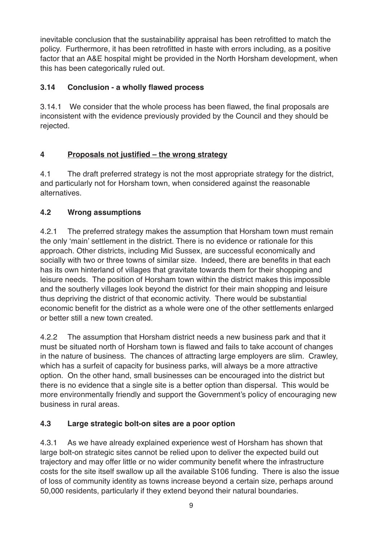inevitable conclusion that the sustainability appraisal has been retrofitted to match the policy. Furthermore, it has been retrofitted in haste with errors including, as a positive factor that an A&E hospital might be provided in the North Horsham development, when this has been categorically ruled out.

## **3.14 Conclusion - a wholly flawed process**

3.14.1 We consider that the whole process has been flawed, the final proposals are inconsistent with the evidence previously provided by the Council and they should be rejected.

## **4 Proposals not justified – the wrong strategy**

4.1 The draft preferred strategy is not the most appropriate strategy for the district, and particularly not for Horsham town, when considered against the reasonable alternatives.

## **4.2 Wrong assumptions**

4.2.1 The preferred strategy makes the assumption that Horsham town must remain the only 'main' settlement in the district. There is no evidence or rationale for this approach. Other districts, including Mid Sussex, are successful economically and socially with two or three towns of similar size. Indeed, there are benefits in that each has its own hinterland of villages that gravitate towards them for their shopping and leisure needs. The position of Horsham town within the district makes this impossible and the southerly villages look beyond the district for their main shopping and leisure thus depriving the district of that economic activity. There would be substantial economic benefit for the district as a whole were one of the other settlements enlarged or better still a new town created.

4.2.2 The assumption that Horsham district needs a new business park and that it must be situated north of Horsham town is flawed and fails to take account of changes in the nature of business. The chances of attracting large employers are slim. Crawley, which has a surfeit of capacity for business parks, will always be a more attractive option. On the other hand, small businesses can be encouraged into the district but there is no evidence that a single site is a better option than dispersal. This would be more environmentally friendly and support the Government's policy of encouraging new business in rural areas.

## **4.3 Large strategic bolt-on sites are a poor option**

4.3.1 As we have already explained experience west of Horsham has shown that large bolt-on strategic sites cannot be relied upon to deliver the expected build out trajectory and may offer little or no wider community benefit where the infrastructure costs for the site itself swallow up all the available S106 funding. There is also the issue of loss of community identity as towns increase beyond a certain size, perhaps around 50,000 residents, particularly if they extend beyond their natural boundaries.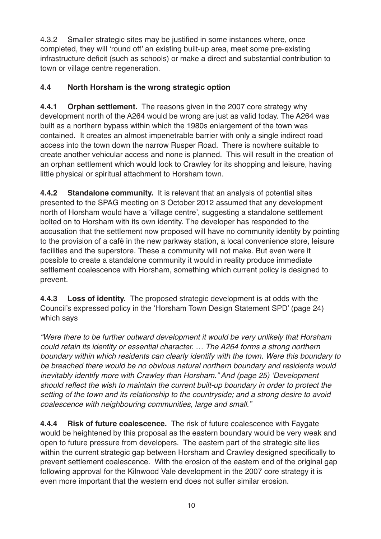4.3.2 Smaller strategic sites may be justified in some instances where, once completed, they will 'round off' an existing built-up area, meet some pre-existing infrastructure deficit (such as schools) or make a direct and substantial contribution to town or village centre regeneration.

## **4.4 North Horsham is the wrong strategic option**

**4.4.1 Orphan settlement.** The reasons given in the 2007 core strategy why development north of the A264 would be wrong are just as valid today. The A264 was built as a northern bypass within which the 1980s enlargement of the town was contained. It creates an almost impenetrable barrier with only a single indirect road access into the town down the narrow Rusper Road. There is nowhere suitable to create another vehicular access and none is planned. This will result in the creation of an orphan settlement which would look to Crawley for its shopping and leisure, having little physical or spiritual attachment to Horsham town.

**4.4.2 Standalone community.** It is relevant that an analysis of potential sites presented to the SPAG meeting on 3 October 2012 assumed that any development north of Horsham would have a 'village centre', suggesting a standalone settlement bolted on to Horsham with its own identity. The developer has responded to the accusation that the settlement now proposed will have no community identity by pointing to the provision of a café in the new parkway station, a local convenience store, leisure facilities and the superstore. These a community will not make. But even were it possible to create a standalone community it would in reality produce immediate settlement coalescence with Horsham, something which current policy is designed to prevent.

**4.4.3 Loss of identity.** The proposed strategic development is at odds with the Council's expressed policy in the 'Horsham Town Design Statement SPD' (page 24) which says

*"Were there to be further outward development it would be very unlikely that Horsham could retain its identity or essential character. … The A264 forms a strong northern boundary within which residents can clearly identify with the town. Were this boundary to be breached there would be no obvious natural northern boundary and residents would inevitably identify more with Crawley than Horsham." And (page 25) 'Development should reflect the wish to maintain the current built-up boundary in order to protect the setting of the town and its relationship to the countryside; and a strong desire to avoid coalescence with neighbouring communities, large and small."*

**4.4.4 Risk of future coalescence.** The risk of future coalescence with Faygate would be heightened by this proposal as the eastern boundary would be very weak and open to future pressure from developers. The eastern part of the strategic site lies within the current strategic gap between Horsham and Crawley designed specifically to prevent settlement coalescence. With the erosion of the eastern end of the original gap following approval for the Kilnwood Vale development in the 2007 core strategy it is even more important that the western end does not suffer similar erosion.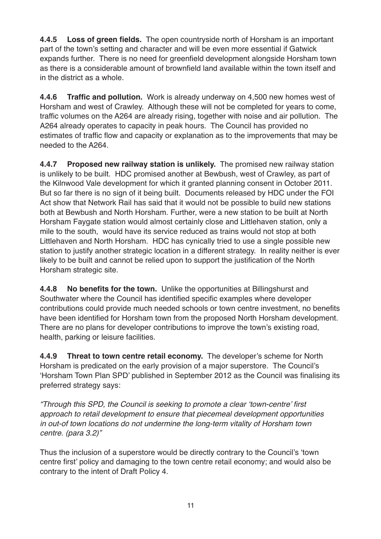**4.4.5 Loss of green fields.** The open countryside north of Horsham is an important part of the town's setting and character and will be even more essential if Gatwick expands further. There is no need for greenfield development alongside Horsham town as there is a considerable amount of brownfield land available within the town itself and in the district as a whole.

**4.4.6 Traffic and pollution.** Work is already underway on 4,500 new homes west of Horsham and west of Crawley. Although these will not be completed for years to come, traffic volumes on the A264 are already rising, together with noise and air pollution. The A264 already operates to capacity in peak hours. The Council has provided no estimates of traffic flow and capacity or explanation as to the improvements that may be needed to the A264.

**4.4.7 Proposed new railway station is unlikely.** The promised new railway station is unlikely to be built. HDC promised another at Bewbush, west of Crawley, as part of the Kilnwood Vale development for which it granted planning consent in October 2011. But so far there is no sign of it being built. Documents released by HDC under the FOI Act show that Network Rail has said that it would not be possible to build new stations both at Bewbush and North Horsham. Further, were a new station to be built at North Horsham Faygate station would almost certainly close and Littlehaven station, only a mile to the south, would have its service reduced as trains would not stop at both Littlehaven and North Horsham. HDC has cynically tried to use a single possible new station to justify another strategic location in a different strategy. In reality neither is ever likely to be built and cannot be relied upon to support the justification of the North Horsham strategic site.

**4.4.8 No benefits for the town.** Unlike the opportunities at Billingshurst and Southwater where the Council has identified specific examples where developer contributions could provide much needed schools or town centre investment, no benefits have been identified for Horsham town from the proposed North Horsham development. There are no plans for developer contributions to improve the town's existing road, health, parking or leisure facilities.

**4.4.9 Threat to town centre retail economy.** The developer's scheme for North Horsham is predicated on the early provision of a major superstore. The Council's 'Horsham Town Plan SPD' published in September 2012 as the Council was finalising its preferred strategy says:

*"Through this SPD, the Council is seeking to promote a clear 'town-centre' first approach to retail development to ensure that piecemeal development opportunities in out-of town locations do not undermine the long-term vitality of Horsham town centre. (para 3.2)"*

Thus the inclusion of a superstore would be directly contrary to the Council's 'town centre first' policy and damaging to the town centre retail economy; and would also be contrary to the intent of Draft Policy 4.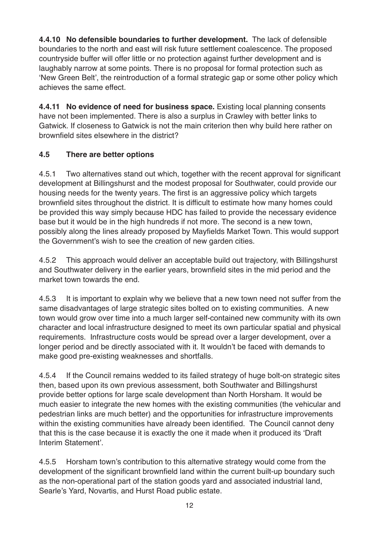**4.4.10 No defensible boundaries to further development.** The lack of defensible boundaries to the north and east will risk future settlement coalescence. The proposed countryside buffer will offer little or no protection against further development and is laughably narrow at some points. There is no proposal for formal protection such as 'New Green Belt', the reintroduction of a formal strategic gap or some other policy which achieves the same effect.

**4.4.11 No evidence of need for business space.** Existing local planning consents have not been implemented. There is also a surplus in Crawley with better links to Gatwick. If closeness to Gatwick is not the main criterion then why build here rather on brownfield sites elsewhere in the district?

## **4.5 There are better options**

4.5.1 Two alternatives stand out which, together with the recent approval for significant development at Billingshurst and the modest proposal for Southwater, could provide our housing needs for the twenty years. The first is an aggressive policy which targets brownfield sites throughout the district. It is difficult to estimate how many homes could be provided this way simply because HDC has failed to provide the necessary evidence base but it would be in the high hundreds if not more. The second is a new town, possibly along the lines already proposed by Mayfields Market Town. This would support the Government's wish to see the creation of new garden cities.

4.5.2 This approach would deliver an acceptable build out trajectory, with Billingshurst and Southwater delivery in the earlier years, brownfield sites in the mid period and the market town towards the end.

4.5.3 It is important to explain why we believe that a new town need not suffer from the same disadvantages of large strategic sites bolted on to existing communities. A new town would grow over time into a much larger self-contained new community with its own character and local infrastructure designed to meet its own particular spatial and physical requirements. Infrastructure costs would be spread over a larger development, over a longer period and be directly associated with it. It wouldn't be faced with demands to make good pre-existing weaknesses and shortfalls.

4.5.4 If the Council remains wedded to its failed strategy of huge bolt-on strategic sites then, based upon its own previous assessment, both Southwater and Billingshurst provide better options for large scale development than North Horsham. It would be much easier to integrate the new homes with the existing communities (the vehicular and pedestrian links are much better) and the opportunities for infrastructure improvements within the existing communities have already been identified. The Council cannot deny that this is the case because it is exactly the one it made when it produced its 'Draft Interim Statement'.

4.5.5 Horsham town's contribution to this alternative strategy would come from the development of the significant brownfield land within the current built-up boundary such as the non-operational part of the station goods yard and associated industrial land, Searle's Yard, Novartis, and Hurst Road public estate.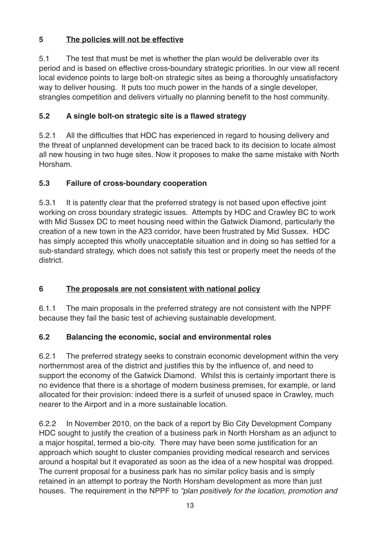## **5 The policies will not be effective**

5.1 The test that must be met is whether the plan would be deliverable over its period and is based on effective cross-boundary strategic priorities. In our view all recent local evidence points to large bolt-on strategic sites as being a thoroughly unsatisfactory way to deliver housing. It puts too much power in the hands of a single developer, strangles competition and delivers virtually no planning benefit to the host community.

## **5.2 A single bolt-on strategic site is a flawed strategy**

5.2.1 All the difficulties that HDC has experienced in regard to housing delivery and the threat of unplanned development can be traced back to its decision to locate almost all new housing in two huge sites. Now it proposes to make the same mistake with North Horsham.

## **5.3 Failure of cross-boundary cooperation**

5.3.1 It is patently clear that the preferred strategy is not based upon effective joint working on cross boundary strategic issues. Attempts by HDC and Crawley BC to work with Mid Sussex DC to meet housing need within the Gatwick Diamond, particularly the creation of a new town in the A23 corridor, have been frustrated by Mid Sussex. HDC has simply accepted this wholly unacceptable situation and in doing so has settled for a sub-standard strategy, which does not satisfy this test or properly meet the needs of the district.

## **6 The proposals are not consistent with national policy**

6.1.1 The main proposals in the preferred strategy are not consistent with the NPPF because they fail the basic test of achieving sustainable development.

## **6.2 Balancing the economic, social and environmental roles**

6.2.1 The preferred strategy seeks to constrain economic development within the very northernmost area of the district and justifies this by the influence of, and need to support the economy of the Gatwick Diamond. Whilst this is certainly important there is no evidence that there is a shortage of modern business premises, for example, or land allocated for their provision: indeed there is a surfeit of unused space in Crawley, much nearer to the Airport and in a more sustainable location.

6.2.2 In November 2010, on the back of a report by Bio City Development Company HDC sought to justify the creation of a business park in North Horsham as an adjunct to a major hospital, termed a bio-city. There may have been some justification for an approach which sought to cluster companies providing medical research and services around a hospital but it evaporated as soon as the idea of a new hospital was dropped. The current proposal for a business park has no similar policy basis and is simply retained in an attempt to portray the North Horsham development as more than just houses. The requirement in the NPPF to *"plan positively for the location, promotion and*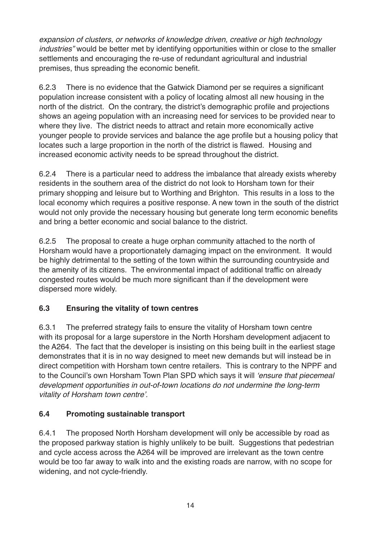*expansion of clusters, or networks of knowledge driven, creative or high technology industries"* would be better met by identifying opportunities within or close to the smaller settlements and encouraging the re-use of redundant agricultural and industrial premises, thus spreading the economic benefit.

6.2.3 There is no evidence that the Gatwick Diamond per se requires a significant population increase consistent with a policy of locating almost all new housing in the north of the district. On the contrary, the district's demographic profile and projections shows an ageing population with an increasing need for services to be provided near to where they live. The district needs to attract and retain more economically active younger people to provide services and balance the age profile but a housing policy that locates such a large proportion in the north of the district is flawed. Housing and increased economic activity needs to be spread throughout the district.

6.2.4 There is a particular need to address the imbalance that already exists whereby residents in the southern area of the district do not look to Horsham town for their primary shopping and leisure but to Worthing and Brighton. This results in a loss to the local economy which requires a positive response. A new town in the south of the district would not only provide the necessary housing but generate long term economic benefits and bring a better economic and social balance to the district.

6.2.5 The proposal to create a huge orphan community attached to the north of Horsham would have a proportionately damaging impact on the environment. It would be highly detrimental to the setting of the town within the surrounding countryside and the amenity of its citizens. The environmental impact of additional traffic on already congested routes would be much more significant than if the development were dispersed more widely.

## **6.3 Ensuring the vitality of town centres**

6.3.1 The preferred strategy fails to ensure the vitality of Horsham town centre with its proposal for a large superstore in the North Horsham development adjacent to the A264. The fact that the developer is insisting on this being built in the earliest stage demonstrates that it is in no way designed to meet new demands but will instead be in direct competition with Horsham town centre retailers. This is contrary to the NPPF and to the Council's own Horsham Town Plan SPD which says it will *'ensure that piecemeal development opportunities in out-of-town locations do not undermine the long-term vitality of Horsham town centre'.*

## **6.4 Promoting sustainable transport**

6.4.1 The proposed North Horsham development will only be accessible by road as the proposed parkway station is highly unlikely to be built. Suggestions that pedestrian and cycle access across the A264 will be improved are irrelevant as the town centre would be too far away to walk into and the existing roads are narrow, with no scope for widening, and not cycle-friendly.